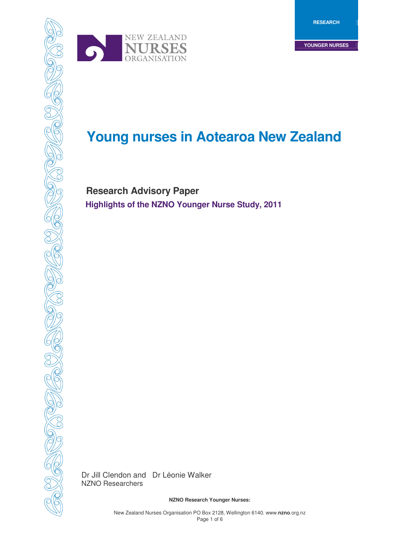



# *CON*<br>**Young nurses in Aotearoa New Zealand**

 **Research Advisory Paper Highlights of the NZNO Younger Nurse Study, 2011** 

Dr Jill Clendon and Dr Léonie Walker NZNO Researchers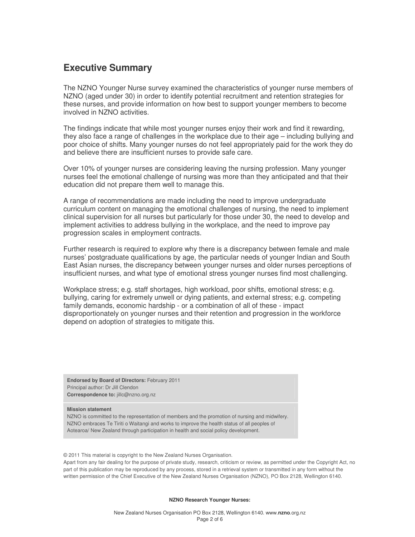## **Executive Summary**

The NZNO Younger Nurse survey examined the characteristics of younger nurse members of NZNO (aged under 30) in order to identify potential recruitment and retention strategies for these nurses, and provide information on how best to support younger members to become involved in NZNO activities.

The findings indicate that while most younger nurses enjoy their work and find it rewarding, they also face a range of challenges in the workplace due to their age – including bullying and poor choice of shifts. Many younger nurses do not feel appropriately paid for the work they do and believe there are insufficient nurses to provide safe care.

Over 10% of younger nurses are considering leaving the nursing profession. Many younger nurses feel the emotional challenge of nursing was more than they anticipated and that their education did not prepare them well to manage this.

A range of recommendations are made including the need to improve undergraduate curriculum content on managing the emotional challenges of nursing, the need to implement clinical supervision for all nurses but particularly for those under 30, the need to develop and implement activities to address bullying in the workplace, and the need to improve pay progression scales in employment contracts.

Further research is required to explore why there is a discrepancy between female and male nurses' postgraduate qualifications by age, the particular needs of younger Indian and South East Asian nurses, the discrepancy between younger nurses and older nurses perceptions of insufficient nurses, and what type of emotional stress younger nurses find most challenging.

Workplace stress; e.g. staff shortages, high workload, poor shifts, emotional stress; e.g. bullying, caring for extremely unwell or dying patients, and external stress; e.g. competing family demands, economic hardship - or a combination of all of these - impact disproportionately on younger nurses and their retention and progression in the workforce depend on adoption of strategies to mitigate this.

**Endorsed by Board of Directors:** February 2011 Principal author: Dr Jill Clendon **Correspondence to:** jillc@nzno.org.nz

#### **Mission statement**

NZNO is committed to the representation of members and the promotion of nursing and midwifery. NZNO embraces Te Tiriti o Waitangi and works to improve the health status of all peoples of Aotearoa/ New Zealand through participation in health and social policy development.

© 2011 This material is copyright to the New Zealand Nurses Organisation.

Apart from any fair dealing for the purpose of private study, research, criticism or review, as permitted under the Copyright Act, no part of this publication may be reproduced by any process, stored in a retrieval system or transmitted in any form without the written permission of the Chief Executive of the New Zealand Nurses Organisation (NZNO), PO Box 2128, Wellington 6140.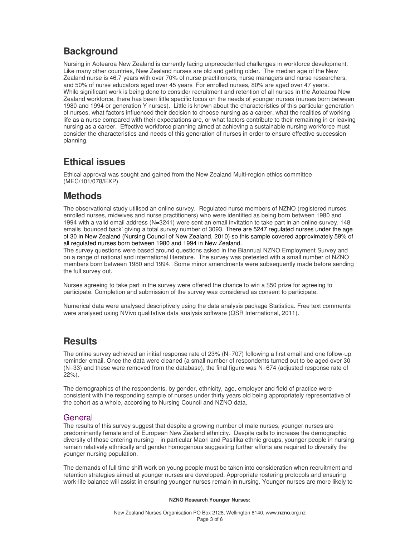# **Background**

Nursing in Aotearoa New Zealand is currently facing unprecedented challenges in workforce development. Like many other countries, New Zealand nurses are old and getting older. The median age of the New Zealand nurse is 46.7 years with over 70% of nurse practitioners, nurse managers and nurse researchers, and 50% of nurse educators aged over 45 years For enrolled nurses, 80% are aged over 47 years. While significant work is being done to consider recruitment and retention of all nurses in the Aotearoa New Zealand workforce, there has been little specific focus on the needs of younger nurses (nurses born between 1980 and 1994 or generation Y nurses). Little is known about the characteristics of this particular generation of nurses, what factors influenced their decision to choose nursing as a career, what the realities of working life as a nurse compared with their expectations are, or what factors contribute to their remaining in or leaving nursing as a career. Effective workforce planning aimed at achieving a sustainable nursing workforce must consider the characteristics and needs of this generation of nurses in order to ensure effective succession planning.

# **Ethical issues**

Ethical approval was sought and gained from the New Zealand Multi-region ethics committee (MEC/101/078/EXP).

# **Methods**

The observational study utilised an online survey. Regulated nurse members of NZNO (registered nurses, enrolled nurses, midwives and nurse practitioners) who were identified as being born between 1980 and 1994 with a valid email address (N=3241) were sent an email invitation to take part in an online survey. 148 emails 'bounced back' giving a total survey number of 3093. There are 5247 regulated nurses under the age of 30 in New Zealand (Nursing Council of New Zealand, 2010) so this sample covered approximately 59% of all regulated nurses born between 1980 and 1994 in New Zealand.

The survey questions were based around questions asked in the Biannual NZNO Employment Survey and on a range of national and international literature. The survey was pretested with a small number of NZNO members born between 1980 and 1994. Some minor amendments were subsequently made before sending the full survey out.

Nurses agreeing to take part in the survey were offered the chance to win a \$50 prize for agreeing to participate. Completion and submission of the survey was considered as consent to participate.

Numerical data were analysed descriptively using the data analysis package Statistica. Free text comments were analysed using NVivo qualitative data analysis software (QSR International, 2011).

# **Results**

The online survey achieved an initial response rate of 23% (N=707) following a first email and one follow-up reminder email. Once the data were cleaned (a small number of respondents turned out to be aged over 30 (N=33) and these were removed from the database), the final figure was N=674 (adjusted response rate of 22%).

The demographics of the respondents, by gender, ethnicity, age, employer and field of practice were consistent with the responding sample of nurses under thirty years old being appropriately representative of the cohort as a whole, according to Nursing Council and NZNO data.

## **General**

The results of this survey suggest that despite a growing number of male nurses, younger nurses are predominantly female and of European New Zealand ethnicity. Despite calls to increase the demographic diversity of those entering nursing – in particular Maori and Pasifika ethnic groups, younger people in nursing remain relatively ethnically and gender homogenous suggesting further efforts are required to diversify the younger nursing population.

The demands of full time shift work on young people must be taken into consideration when recruitment and retention strategies aimed at younger nurses are developed. Appropriate rostering protocols and ensuring work-life balance will assist in ensuring younger nurses remain in nursing. Younger nurses are more likely to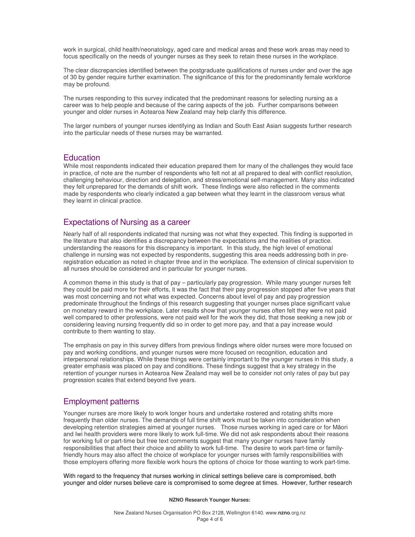work in surgical, child health/neonatology, aged care and medical areas and these work areas may need to focus specifically on the needs of younger nurses as they seek to retain these nurses in the workplace.

The clear discrepancies identified between the postgraduate qualifications of nurses under and over the age of 30 by gender require further examination. The significance of this for the predominantly female workforce may be profound.

The nurses responding to this survey indicated that the predominant reasons for selecting nursing as a career was to help people and because of the caring aspects of the job. Further comparisons between younger and older nurses in Aotearoa New Zealand may help clarify this difference.

The larger numbers of younger nurses identifying as Indian and South East Asian suggests further research into the particular needs of these nurses may be warranted.

### **Education**

While most respondents indicated their education prepared them for many of the challenges they would face in practice, of note are the number of respondents who felt not at all prepared to deal with conflict resolution, challenging behaviour, direction and delegation, and stress/emotional self-management. Many also indicated they felt unprepared for the demands of shift work. These findings were also reflected in the comments made by respondents who clearly indicated a gap between what they learnt in the classroom versus what they learnt in clinical practice.

### Expectations of Nursing as a career

Nearly half of all respondents indicated that nursing was not what they expected. This finding is supported in the literature that also identifies a discrepancy between the expectations and the realities of practice. understanding the reasons for this discrepancy is important. In this study, the high level of emotional challenge in nursing was not expected by respondents, suggesting this area needs addressing both in preregistration education as noted in chapter three and in the workplace. The extension of clinical supervision to all nurses should be considered and in particular for younger nurses.

A common theme in this study is that of pay – particularly pay progression. While many younger nurses felt they could be paid more for their efforts, it was the fact that their pay progression stopped after five years that was most concerning and not what was expected. Concerns about level of pay and pay progression predominate throughout the findings of this research suggesting that younger nurses place significant value on monetary reward in the workplace. Later results show that younger nurses often felt they were not paid well compared to other professions, were not paid well for the work they did, that those seeking a new job or considering leaving nursing frequently did so in order to get more pay, and that a pay increase would contribute to them wanting to stay.

The emphasis on pay in this survey differs from previous findings where older nurses were more focused on pay and working conditions, and younger nurses were more focused on recognition, education and interpersonal relationships. While these things were certainly important to the younger nurses in this study, a greater emphasis was placed on pay and conditions. These findings suggest that a key strategy in the retention of younger nurses in Aotearoa New Zealand may well be to consider not only rates of pay but pay progression scales that extend beyond five years.

#### Employment patterns

Younger nurses are more likely to work longer hours and undertake rostered and rotating shifts more frequently than older nurses. The demands of full time shift work must be taken into consideration when developing retention strategies aimed at younger nurses. Those nurses working in aged care or for Māori and Iwi health providers were more likely to work full-time. We did not ask respondents about their reasons for working full or part-time but free text comments suggest that many younger nurses have family responsibilities that affect their choice and ability to work full-time. The desire to work part-time or familyfriendly hours may also affect the choice of workplace for younger nurses with family responsibilities with those employers offering more flexible work hours the options of choice for those wanting to work part-time.

With regard to the frequency that nurses working in clinical settings believe care is compromised, both younger and older nurses believe care is compromised to some degree at times. However, further research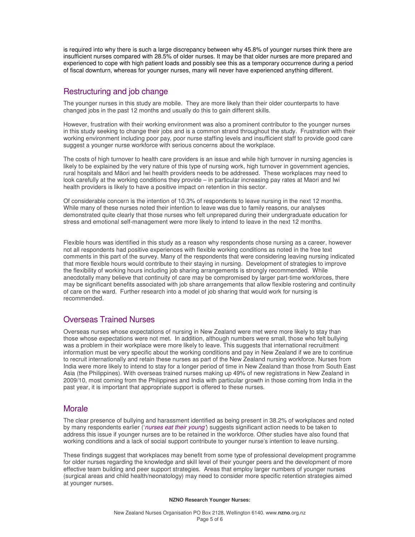is required into why there is such a large discrepancy between why 45.8% of younger nurses think there are insufficient nurses compared with 28.5% of older nurses. It may be that older nurses are more prepared and experienced to cope with high patient loads and possibly see this as a temporary occurrence during a period of fiscal downturn, whereas for younger nurses, many will never have experienced anything different.

## Restructuring and job change

The younger nurses in this study are mobile. They are more likely than their older counterparts to have changed jobs in the past 12 months and usually do this to gain different skills.

However, frustration with their working environment was also a prominent contributor to the younger nurses in this study seeking to change their jobs and is a common strand throughout the study. Frustration with their working environment including poor pay, poor nurse staffing levels and insufficient staff to provide good care suggest a younger nurse workforce with serious concerns about the workplace.

The costs of high turnover to health care providers is an issue and while high turnover in nursing agencies is likely to be explained by the very nature of this type of nursing work, high turnover in government agencies, rural hospitals and Māori and Iwi health providers needs to be addressed. These workplaces may need to look carefully at the working conditions they provide – in particular increasing pay rates at Maori and Iwi health providers is likely to have a positive impact on retention in this sector.

Of considerable concern is the intention of 10.3% of respondents to leave nursing in the next 12 months. While many of these nurses noted their intention to leave was due to family reasons, our analyses demonstrated quite clearly that those nurses who felt unprepared during their undergraduate education for stress and emotional self-management were more likely to intend to leave in the next 12 months.

Flexible hours was identified in this study as a reason why respondents chose nursing as a career, however not all respondents had positive experiences with flexible working conditions as noted in the free text comments in this part of the survey. Many of the respondents that were considering leaving nursing indicated that more flexible hours would contribute to their staying in nursing. Development of strategies to improve the flexibility of working hours including job sharing arrangements is strongly recommended. While anecdotally many believe that continuity of care may be compromised by larger part-time workforces, there may be significant benefits associated with job share arrangements that allow flexible rostering and continuity of care on the ward. Further research into a model of job sharing that would work for nursing is recommended.

## Overseas Trained Nurses

Overseas nurses whose expectations of nursing in New Zealand were met were more likely to stay than those whose expectations were not met. In addition, although numbers were small, those who felt bullying was a problem in their workplace were more likely to leave. This suggests that international recruitment information must be very specific about the working conditions and pay in New Zealand if we are to continue to recruit internationally and retain these nurses as part of the New Zealand nursing workforce. Nurses from India were more likely to intend to stay for a longer period of time in New Zealand than those from South East Asia (the Philippines). With overseas trained nurses making up 49% of new registrations in New Zealand in 2009/10, most coming from the Philippines and India with particular growth in those coming from India in the past year, it is important that appropriate support is offered to these nurses.

## Morale

The clear presence of bullying and harassment identified as being present in 38.2% of workplaces and noted by many respondents earlier ('nurses eat their young') suggests significant action needs to be taken to address this issue if younger nurses are to be retained in the workforce. Other studies have also found that working conditions and a lack of social support contribute to younger nurse's intention to leave nursing.

These findings suggest that workplaces may benefit from some type of professional development programme for older nurses regarding the knowledge and skill level of their younger peers and the development of more effective team building and peer support strategies. Areas that employ larger numbers of younger nurses (surgical areas and child health/neonatology) may need to consider more specific retention strategies aimed at younger nurses.